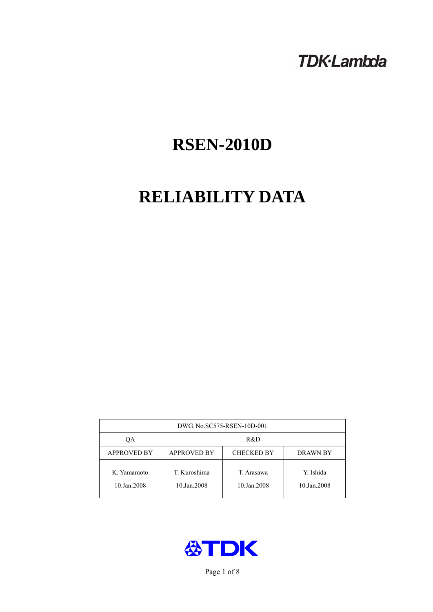# **TDK-Lambda**

# **RSEN-2010D**

# **RELIABILITY DATA**

| DWG. No.SC575-RSEN-10D-001 |                                                            |                           |                          |  |  |
|----------------------------|------------------------------------------------------------|---------------------------|--------------------------|--|--|
| ОA                         | R&D                                                        |                           |                          |  |  |
| <b>APPROVED BY</b>         | <b>APPROVED BY</b><br><b>CHECKED BY</b><br><b>DRAWN BY</b> |                           |                          |  |  |
| K. Yamamoto<br>10.Jan.2008 | T. Kuroshima<br>10.Jan.2008                                | T. Arasawa<br>10.Jan.2008 | Y. Ishida<br>10.Jan.2008 |  |  |



Page 1 of 8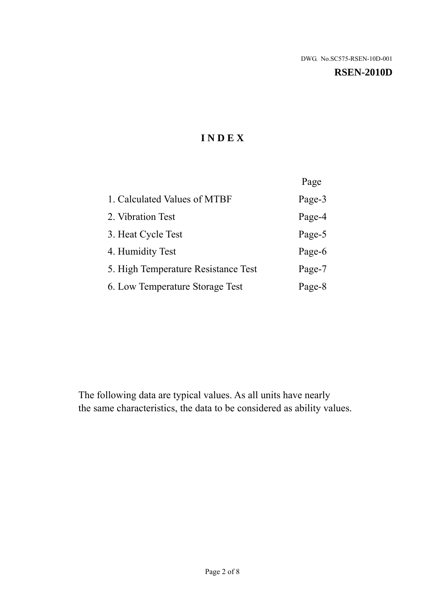#### **RSEN-2010D**

# **I N D E X**

|                                     | Page   |
|-------------------------------------|--------|
| 1. Calculated Values of MTBF        | Page-3 |
| 2. Vibration Test                   | Page-4 |
| 3. Heat Cycle Test                  | Page-5 |
| 4. Humidity Test                    | Page-6 |
| 5. High Temperature Resistance Test | Page-7 |
| 6. Low Temperature Storage Test     | Page-8 |

The following data are typical values. As all units have nearly the same characteristics, the data to be considered as ability values.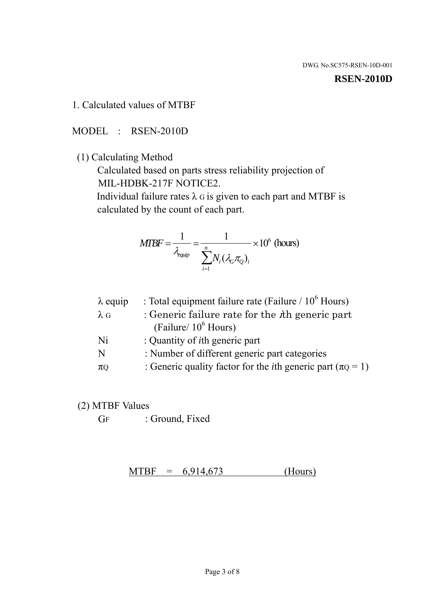#### **RSEN-2010D**

1. Calculated values of MTBF

MODEL : RSEN-2010D

(1) Calculating Method

 Calculated based on parts stress reliability projection of MIL-HDBK-217F NOTICE2.

Individual failure rates  $\lambda$  G is given to each part and MTBF is calculated by the count of each part.

$$
MTBF = \frac{1}{\lambda_{\text{equip}}} = \frac{1}{\sum_{i=1}^{n} N_i (\lambda_G \pi_Q)_i} \times 10^6 \text{ (hours)}
$$

| : Total equipment failure rate (Failure / $10^6$ Hours)                   |
|---------------------------------------------------------------------------|
| : Generic failure rate for the $\hbar$ generic part                       |
| (Failure/ $10^6$ Hours)                                                   |
| : Quantity of <i>i</i> th generic part                                    |
| : Number of different generic part categories                             |
| : Generic quality factor for the <i>i</i> th generic part ( $\pi Q = 1$ ) |
|                                                                           |

- (2) MTBF Values
	- GF : Ground, Fixed

 $MTBF = 6,914,673$  (Hours)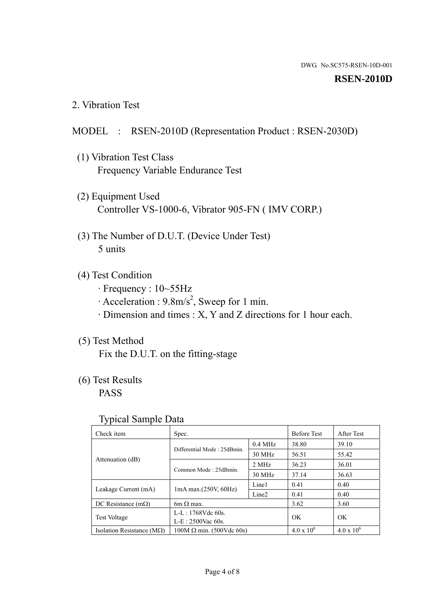#### **RSEN-2010D**

2. Vibration Test

#### MODEL : RSEN-2010D (Representation Product : RSEN-2030D)

- (1) Vibration Test Class Frequency Variable Endurance Test
- (2) Equipment Used Controller VS-1000-6, Vibrator 905-FN ( IMV CORP.)
- (3) The Number of D.U.T. (Device Under Test) 5 units
- (4) Test Condition
	- · Frequency : 10~55Hz
	- $\cdot$  Acceleration : 9.8m/s<sup>2</sup>, Sweep for 1 min.
	- · Dimension and times : X, Y and Z directions for 1 hour each.

## (5) Test Method

Fix the D.U.T. on the fitting-stage

# (6) Test Results

PASS

#### Typical Sample Data

| . .                                |                                 |                   |                    |                     |
|------------------------------------|---------------------------------|-------------------|--------------------|---------------------|
| Check item                         | Spec.                           |                   | <b>Before Test</b> | <b>After Test</b>   |
|                                    | Differential Mode: 25dBmin.     | $0.4$ MHz         | 38.80              | 39.10               |
|                                    |                                 | 30 MHz            | 56.51              | 55.42               |
| Attenuation (dB)                   | Common Mode: 25dBmin.           | 2 MHz             | 36.23              | 36.01               |
|                                    |                                 | 30 MHz            | 37.14              | 36.63               |
| Leakage Current (mA)               | $1mA$ max. $(250V, 60Hz)$       | Line1             | 0.41               | 0.40                |
|                                    |                                 | Line <sub>2</sub> | 0.41               | 0.40                |
| DC Resistance $(m\Omega)$          | 6m $\Omega$ max.                |                   | 3.62               | 3.60                |
| <b>Test Voltage</b>                | $L-L: 1768Vdc$ 60s.             |                   | OK.                | OK.                 |
|                                    | $L-E: 2500$ Vac 60s.            |                   |                    |                     |
| Isolation Resistance ( $M\Omega$ ) | $100M \Omega$ min. (500Vdc 60s) |                   | $4.0 \times 10^6$  | $4.0 \times 10^{6}$ |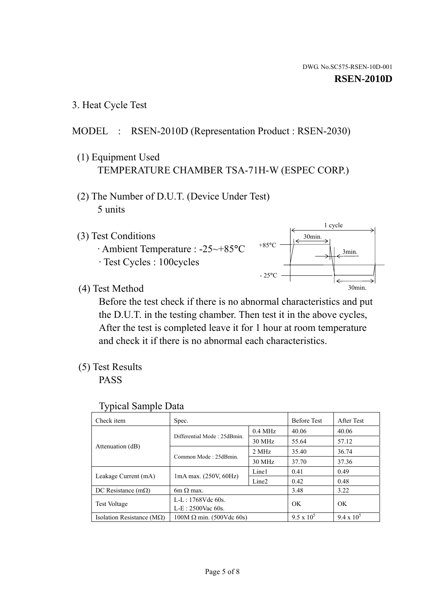3. Heat Cycle Test

## MODEL : RSEN-2010D (Representation Product : RSEN-2030)

- (1) Equipment Used TEMPERATURE CHAMBER TSA-71H-W (ESPEC CORP.)
- (2) The Number of D.U.T. (Device Under Test) 5 units
- (3) Test Conditions
	- · Ambient Temperature : -25~+85°C · Test Cycles : 100cycles



(4) Test Method

 Before the test check if there is no abnormal characteristics and put the D.U.T. in the testing chamber. Then test it in the above cycles, After the test is completed leave it for 1 hour at room temperature and check it if there is no abnormal each characteristics.

(5) Test Results

PASS

| <b>Typical Sample Data</b> |  |  |
|----------------------------|--|--|
|----------------------------|--|--|

| Check item                    | Spec.                           |                     | <b>Before Test</b> | After Test        |
|-------------------------------|---------------------------------|---------------------|--------------------|-------------------|
|                               | Differential Mode: 25dBmin.     | $0.4\ \mathrm{MHz}$ | 40.06              | 40.06             |
|                               |                                 | 30 MHz              | 55.64              | 57.12             |
| Attenuation (dB)              | Common Mode: 25dBmin.           | 2 MHz               | 35.40              | 36.74             |
|                               |                                 | 30 MHz              | 37.70              | 37.36             |
| Leakage Current (mA)          | $1mA$ max. $(250V, 60Hz)$       | Line1               | 0.41               | 0.49              |
|                               |                                 | Line <sub>2</sub>   | 0.42               | 0.48              |
| DC Resistance $(m\Omega)$     | $6m \Omega$ max.                |                     | 3.48               | 3.22              |
| <b>Test Voltage</b>           | L-L: 1768Vdc 60s.               |                     | OK                 | OK                |
|                               | $L-E: 2500$ Vac 60s.            |                     |                    |                   |
| Isolation Resistance ( $MQ$ ) | $100M \Omega$ min. (500Vdc 60s) |                     | $9.5 \times 10^5$  | $9.4 \times 10^5$ |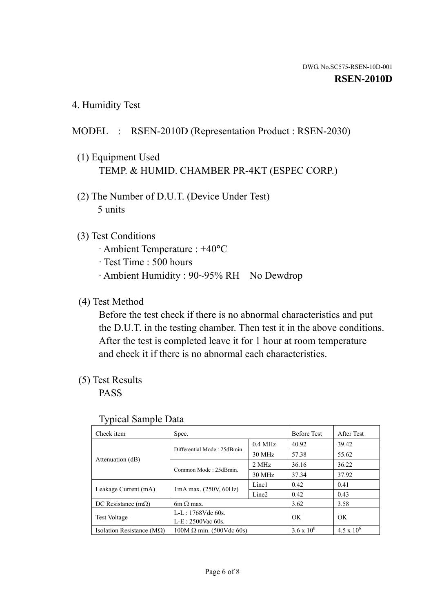4. Humidity Test

## MODEL : RSEN-2010D (Representation Product : RSEN-2030)

- (1) Equipment Used TEMP. & HUMID. CHAMBER PR-4KT (ESPEC CORP.)
- (2) The Number of D.U.T. (Device Under Test) 5 units

### (3) Test Conditions

- · Ambient Temperature : +40°C
- · Test Time : 500 hours
- · Ambient Humidity : 90~95% RH No Dewdrop

### (4) Test Method

 Before the test check if there is no abnormal characteristics and put the D.U.T. in the testing chamber. Then test it in the above conditions. After the test is completed leave it for 1 hour at room temperature and check it if there is no abnormal each characteristics.

### (5) Test Results

PASS

| . .                                |                                 |                   |                     |                     |
|------------------------------------|---------------------------------|-------------------|---------------------|---------------------|
| Check item                         | Spec.                           |                   | <b>Before Test</b>  | After Test          |
|                                    | Differential Mode: 25dBmin.     | $0.4$ MHz         | 40.92               | 39.42               |
|                                    |                                 | 30 MHz            | 57.38               | 55.62               |
| Attenuation (dB)                   | Common Mode: 25dBmin.           | 2 MHz             | 36.16               | 36.22               |
|                                    |                                 | 30 MHz            | 37.34               | 37.92               |
| Leakage Current (mA)               | $1mA$ max. $(250V, 60Hz)$       | Line1             | 0.42                | 0.41                |
|                                    |                                 | Line <sub>2</sub> | 0.42                | 0.43                |
| DC Resistance (m $\Omega$ )        | $6m \Omega$ max.                |                   | 3.62                | 3.58                |
| <b>Test Voltage</b>                | $L-L: 1768Vdc$ 60s.             |                   | OK                  | OK.                 |
|                                    | $L-E$ : 2500Vac 60s.            |                   |                     |                     |
| Isolation Resistance ( $M\Omega$ ) | $100M \Omega$ min. (500Vdc 60s) |                   | $3.6 \times 10^{6}$ | $4.5 \times 10^{6}$ |

#### Typical Sample Data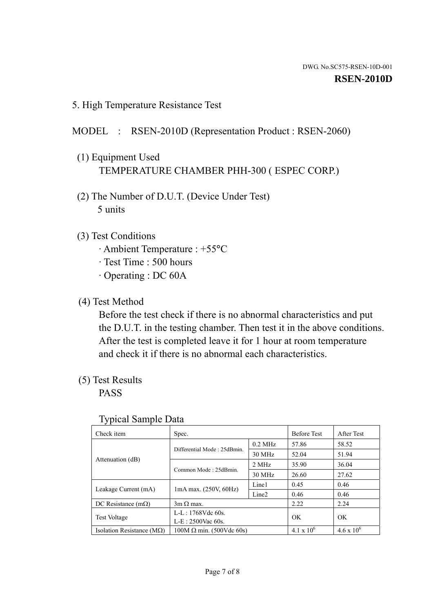5. High Temperature Resistance Test

## MODEL : RSEN-2010D (Representation Product : RSEN-2060)

- (1) Equipment Used TEMPERATURE CHAMBER PHH-300 ( ESPEC CORP.)
- (2) The Number of D.U.T. (Device Under Test) 5 units
- (3) Test Conditions
	- · Ambient Temperature : +55°C
	- · Test Time : 500 hours
	- · Operating : DC 60A
- (4) Test Method

 Before the test check if there is no abnormal characteristics and put the D.U.T. in the testing chamber. Then test it in the above conditions. After the test is completed leave it for 1 hour at room temperature and check it if there is no abnormal each characteristics.

(5) Test Results

PASS

| J 1                                                                |                                 |                   |                     |                     |
|--------------------------------------------------------------------|---------------------------------|-------------------|---------------------|---------------------|
| Check item                                                         | Spec.                           |                   | <b>Before Test</b>  | After Test          |
|                                                                    | Differential Mode: 25dBmin.     | $0.2$ MHz         | 57.86               | 58.52               |
|                                                                    |                                 | 30 MHz            | 52.04               | 51.94               |
| Attenuation (dB)                                                   | Common Mode: 25dBmin.           | 2 MHz             | 35.90               | 36.04               |
|                                                                    |                                 | 30 MHz            | 26.60               | 27.62               |
| Leakage Current (mA)                                               | $1mA$ max. $(250V, 60Hz)$       | Line1             | 0.45                | 0.46                |
|                                                                    |                                 | Line <sub>2</sub> | 0.46                | 0.46                |
| DC Resistance $(m\Omega)$                                          | $3m \Omega$ max.                |                   | 2.22                | 2.24                |
| $L-L: 1768Vdc$ 60s.<br><b>Test Voltage</b><br>$L-E: 2500$ Vac 60s. |                                 |                   | OK                  | OK                  |
|                                                                    |                                 |                   |                     |                     |
| Isolation Resistance ( $M\Omega$ )                                 | $100M \Omega$ min. (500Vdc 60s) |                   | $4.1 \times 10^{6}$ | $4.6 \times 10^{6}$ |

#### Typical Sample Data